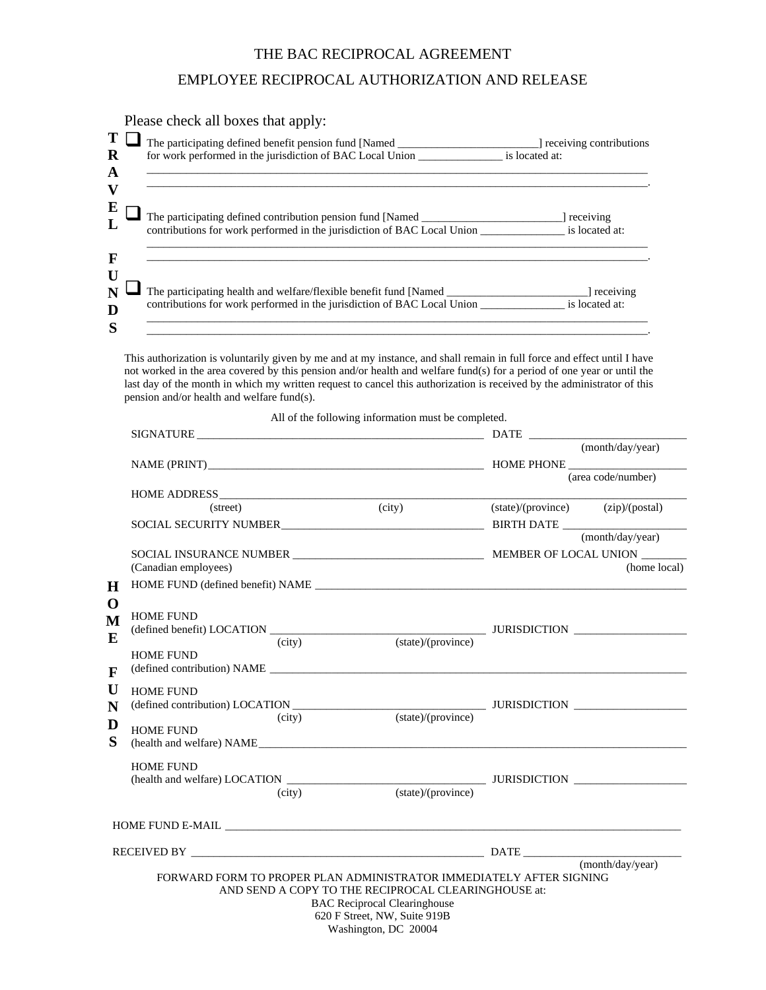## THE BAC RECIPROCAL AGREEMENT

## EMPLOYEE RECIPROCAL AUTHORIZATION AND RELEASE

|          | Please check all boxes that apply:                                                                                                                                                |                         |  |  |  |  |
|----------|-----------------------------------------------------------------------------------------------------------------------------------------------------------------------------------|-------------------------|--|--|--|--|
| $\bf{R}$ | The participating defined benefit pension fund [Named ___________________________<br>for work performed in the jurisdiction of BAC Local Union ___________________ is located at: | receiving contributions |  |  |  |  |
| A        |                                                                                                                                                                                   |                         |  |  |  |  |
| V        |                                                                                                                                                                                   |                         |  |  |  |  |
|          | The participating defined contribution pension fund [Named                                                                                                                        | receiving               |  |  |  |  |
|          | contributions for work performed in the jurisdiction of BAC Local Union                                                                                                           | is located at:          |  |  |  |  |
| F        |                                                                                                                                                                                   |                         |  |  |  |  |
| U        | The participating health and welfare/flexible benefit fund [Named]                                                                                                                | 1 receiving             |  |  |  |  |
| D        | contributions for work performed in the jurisdiction of BAC Local Union ______________________ is located at:                                                                     |                         |  |  |  |  |
| S        |                                                                                                                                                                                   |                         |  |  |  |  |

This authorization is voluntarily given by me and at my instance, and shall remain in full force and effect until I have not worked in the area covered by this pension and/or health and welfare fund(s) for a period of one year or until the last day of the month in which my written request to cancel this authorization is received by the administrator of this pension and/or health and welfare fund(s).

All of the following information must be completed.

|                                                           |                                                                     | SIGNATURE <b>SIGNATURE</b>                          |                  |                                   |
|-----------------------------------------------------------|---------------------------------------------------------------------|-----------------------------------------------------|------------------|-----------------------------------|
|                                                           |                                                                     |                                                     |                  | (month/day/year)                  |
|                                                           |                                                                     |                                                     |                  |                                   |
|                                                           |                                                                     |                                                     |                  | (area code/number)                |
|                                                           |                                                                     |                                                     |                  |                                   |
|                                                           | (street)                                                            | (city)                                              |                  | (state)/(province) (zip)/(postal) |
| H<br>$\mathbf 0$<br>M<br>E<br>$\mathbf{F}$<br>U<br>N<br>D |                                                                     |                                                     |                  |                                   |
|                                                           |                                                                     |                                                     | (month/day/year) |                                   |
|                                                           |                                                                     |                                                     |                  |                                   |
|                                                           | (Canadian employees)                                                |                                                     |                  | (home local)                      |
|                                                           |                                                                     |                                                     |                  |                                   |
|                                                           |                                                                     |                                                     |                  |                                   |
|                                                           | <b>HOME FUND</b>                                                    |                                                     |                  |                                   |
|                                                           |                                                                     |                                                     |                  |                                   |
|                                                           | <b>HOME FUND</b>                                                    |                                                     |                  |                                   |
|                                                           |                                                                     | (defined contribution) NAME                         |                  |                                   |
|                                                           |                                                                     |                                                     |                  |                                   |
|                                                           | <b>HOME FUND</b>                                                    |                                                     |                  |                                   |
|                                                           | (city)                                                              | (state)/(province)                                  |                  |                                   |
|                                                           | <b>HOME FUND</b>                                                    |                                                     |                  |                                   |
| S                                                         |                                                                     | (health and welfare) NAME                           |                  |                                   |
|                                                           | <b>HOME FUND</b>                                                    |                                                     |                  |                                   |
|                                                           |                                                                     |                                                     |                  |                                   |
|                                                           | (city)                                                              | (state)/(province)                                  |                  |                                   |
|                                                           |                                                                     |                                                     |                  |                                   |
|                                                           |                                                                     |                                                     |                  |                                   |
|                                                           |                                                                     |                                                     |                  |                                   |
|                                                           | RECEIVED BY DATE                                                    |                                                     |                  | (month/day/year)                  |
|                                                           | FORWARD FORM TO PROPER PLAN ADMINISTRATOR IMMEDIATELY AFTER SIGNING |                                                     |                  |                                   |
|                                                           |                                                                     | AND SEND A COPY TO THE RECIPROCAL CLEARINGHOUSE at: |                  |                                   |
|                                                           |                                                                     | <b>BAC</b> Reciprocal Clearinghouse                 |                  |                                   |
|                                                           |                                                                     | 620 F Street, NW, Suite 919B                        |                  |                                   |
|                                                           |                                                                     | Washington, DC 20004                                |                  |                                   |